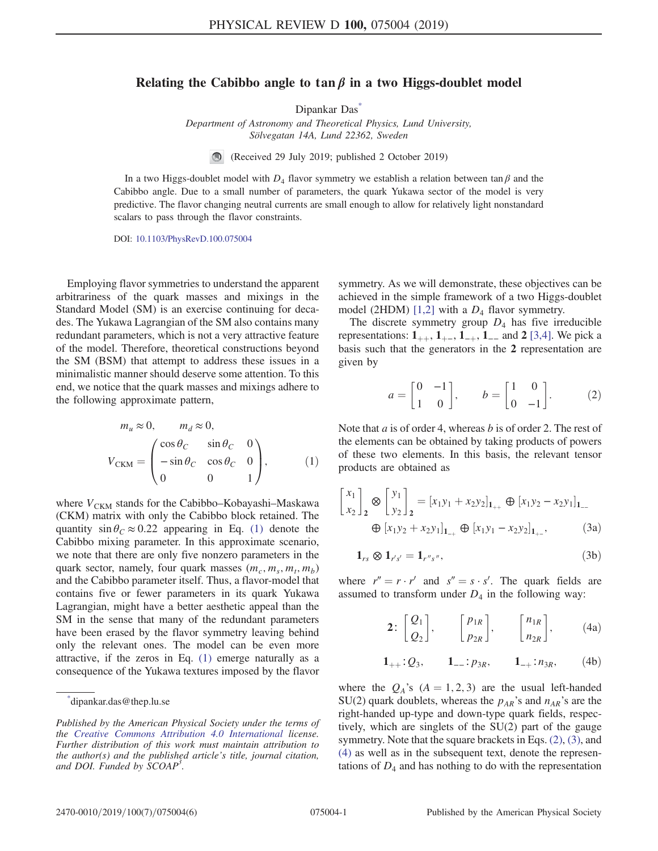## Relating the Cabibbo angle to tan  $\beta$  in a two Higgs-doublet model

Dipankar Das<sup>\*</sup>

Department of Astronomy and Theoretical Physics, Lund University, Sölvegatan 14A, Lund 22362, Sweden

(Received 29 July 2019; published 2 October 2019)

In a two Higgs-doublet model with  $D_4$  flavor symmetry we establish a relation between tan  $\beta$  and the Cabibbo angle. Due to a small number of parameters, the quark Yukawa sector of the model is very predictive. The flavor changing neutral currents are small enough to allow for relatively light nonstandard scalars to pass through the flavor constraints.

DOI: 10.1103/PhysRevD.100.075004

Employing flavor symmetries to understand the apparent arbitrariness of the quark masses and mixings in the Standard Model (SM) is an exercise continuing for decades. The Yukawa Lagrangian of the SM also contains many redundant parameters, which is not a very attractive feature of the model. Therefore, theoretical constructions beyond the SM (BSM) that attempt to address these issues in a minimalistic manner should deserve some attention. To this end, we notice that the quark masses and mixings adhere to the following approximate pattern,

$$
m_u \approx 0, \qquad m_d \approx 0,
$$
  

$$
V_{\text{CKM}} = \begin{pmatrix} \cos \theta_C & \sin \theta_C & 0 \\ -\sin \theta_C & \cos \theta_C & 0 \\ 0 & 0 & 1 \end{pmatrix}, \qquad (1)
$$

where  $V_{\text{CKM}}$  stands for the Cabibbo–Kobayashi–Maskawa (CKM) matrix with only the Cabibbo block retained. The quantity  $\sin \theta_c \approx 0.22$  appearing in Eq. (1) denote the Cabibbo mixing parameter. In this approximate scenario, we note that there are only five nonzero parameters in the quark sector, namely, four quark masses  $(m_c, m_s, m_t, m_b)$ and the Cabibbo parameter itself. Thus, a flavor-model that contains five or fewer parameters in its quark Yukawa Lagrangian, might have a better aesthetic appeal than the SM in the sense that many of the redundant parameters have been erased by the flavor symmetry leaving behind only the relevant ones. The model can be even more attractive, if the zeros in Eq. (1) emerge naturally as a consequence of the Yukawa textures imposed by the flavor symmetry. As we will demonstrate, these objectives can be achieved in the simple framework of a two Higgs-doublet model (2HDM)  $[1,2]$  with a  $D_4$  flavor symmetry.

The discrete symmetry group  $D_4$  has five irreducible representations:  $1_{++}$ ,  $1_{+-}$ ,  $1_{-+}$ ,  $1_{--}$  and 2 [3,4]. We pick a basis such that the generators in the 2 representation are given by

$$
a = \begin{bmatrix} 0 & -1 \\ 1 & 0 \end{bmatrix}, \qquad b = \begin{bmatrix} 1 & 0 \\ 0 & -1 \end{bmatrix}.
$$
 (2)

Note that  $a$  is of order 4, whereas  $b$  is of order 2. The rest of the elements can be obtained by taking products of powers of these two elements. In this basis, the relevant tensor products are obtained as

$$
\begin{bmatrix} x_1 \\ x_2 \end{bmatrix}_2 \otimes \begin{bmatrix} y_1 \\ y_2 \end{bmatrix}_2 = [x_1y_1 + x_2y_2]_{1_{++}} \oplus [x_1y_2 - x_2y_1]_{1_{--}} \n\oplus [x_1y_2 + x_2y_1]_{1_{-+}} \oplus [x_1y_1 - x_2y_2]_{1_{+-}},
$$
\n(3a)

$$
\mathbf{1}_{rs} \otimes \mathbf{1}_{r's'} = \mathbf{1}_{r''s''},\tag{3b}
$$

where  $r'' = r \cdot r'$  and  $s'' = s \cdot s'$ . The quark fields are assumed to transform under  $D_4$  in the following way:

$$
\mathbf{2}: \begin{bmatrix} Q_1 \\ Q_2 \end{bmatrix}, \qquad \begin{bmatrix} p_{1R} \\ p_{2R} \end{bmatrix}, \qquad \begin{bmatrix} n_{1R} \\ n_{2R} \end{bmatrix}, \qquad \text{(4a)}
$$

$$
1_{++}:Q_3, \qquad 1_{--}:p_{3R}, \qquad 1_{-+}:n_{3R}, \qquad (4b)
$$

where the  $Q_A$ 's  $(A = 1, 2, 3)$  are the usual left-handed SU(2) quark doublets, whereas the  $p_{AR}$ 's and  $n_{AR}$ 's are the right-handed up-type and down-type quark fields, respectively, which are singlets of the SU(2) part of the gauge symmetry. Note that the square brackets in Eqs. (2), (3), and (4) as well as in the subsequent text, denote the representations of  $D_4$  and has nothing to do with the representation

<sup>\*</sup> dipankar.das@thep.lu.se

Published by the American Physical Society under the terms of the Creative Commons Attribution 4.0 International license. Further distribution of this work must maintain attribution to the author(s) and the published article's title, journal citation, and DOI. Funded by SCOAP<sup>3</sup>.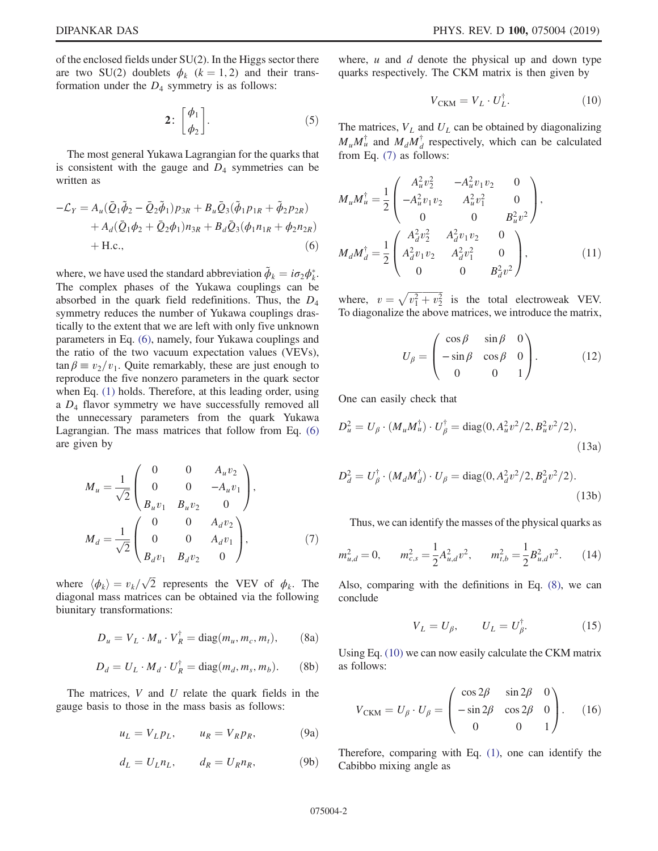of the enclosed fields under SU(2). In the Higgs sector there are two SU(2) doublets  $\phi_k$  ( $k = 1, 2$ ) and their transformation under the  $D_4$  symmetry is as follows:

$$
2: \begin{bmatrix} \phi_1 \\ \phi_2 \end{bmatrix} . \tag{5}
$$

The most general Yukawa Lagrangian for the quarks that is consistent with the gauge and  $D_4$  symmetries can be written as

$$
-\mathcal{L}_Y = A_u(\bar{Q}_1\tilde{\phi}_2 - \bar{Q}_2\tilde{\phi}_1)p_{3R} + B_u\bar{Q}_3(\tilde{\phi}_1p_{1R} + \tilde{\phi}_2p_{2R}) + A_d(\bar{Q}_1\phi_2 + \bar{Q}_2\phi_1)n_{3R} + B_d\bar{Q}_3(\phi_1n_{1R} + \phi_2n_{2R}) + \text{H.c.},
$$
(6)

where, we have used the standard abbreviation  $\tilde{\phi}_k = i\sigma_2 \phi_k^*$ . The complex phases of the Yukawa couplings can be absorbed in the quark field redefinitions. Thus, the  $D_4$ symmetry reduces the number of Yukawa couplings drastically to the extent that we are left with only five unknown parameters in Eq. (6), namely, four Yukawa couplings and the ratio of the two vacuum expectation values (VEVs),  $\tan \beta \equiv v_2/v_1$ . Quite remarkably, these are just enough to reproduce the five nonzero parameters in the quark sector when Eq. (1) holds. Therefore, at this leading order, using a  $D_4$  flavor symmetry we have successfully removed all the unnecessary parameters from the quark Yukawa Lagrangian. The mass matrices that follow from Eq. (6) are given by

$$
M_{u} = \frac{1}{\sqrt{2}} \begin{pmatrix} 0 & 0 & A_{u}v_{2} \\ 0 & 0 & -A_{u}v_{1} \\ B_{u}v_{1} & B_{u}v_{2} & 0 \end{pmatrix},
$$
  

$$
M_{d} = \frac{1}{\sqrt{2}} \begin{pmatrix} 0 & 0 & A_{d}v_{2} \\ 0 & 0 & A_{d}v_{1} \\ B_{d}v_{1} & B_{d}v_{2} & 0 \end{pmatrix},
$$
 (7)

where  $\langle \phi_k \rangle = v_k / \sqrt{2}$  represents the VEV of  $\phi_k$ . The diagonal mass matrices can be obtained via the following biunitary transformations:

$$
D_u = V_L \cdot M_u \cdot V_R^{\dagger} = \text{diag}(m_u, m_c, m_t), \quad (8a)
$$

$$
D_d = U_L \cdot M_d \cdot U_R^{\dagger} = \text{diag}(m_d, m_s, m_b). \tag{8b}
$$

The matrices,  $V$  and  $U$  relate the quark fields in the gauge basis to those in the mass basis as follows:

$$
u_L = V_L p_L, \qquad u_R = V_R p_R, \tag{9a}
$$

$$
d_L = U_L n_L, \qquad d_R = U_R n_R, \tag{9b}
$$

where,  $u$  and  $d$  denote the physical up and down type quarks respectively. The CKM matrix is then given by

$$
V_{\text{CKM}} = V_L \cdot U_L^{\dagger}.
$$
 (10)

The matrices,  $V_L$  and  $U_L$  can be obtained by diagonalizing  $M_u M_u^{\dagger}$  and  $M_d M_d^{\dagger}$  $d$  respectively, which can be calculated from Eq. (7) as follows:

$$
M_{u}M_{u}^{\dagger} = \frac{1}{2} \begin{pmatrix} A_{u}^{2}v_{2}^{2} & -A_{u}^{2}v_{1}v_{2} & 0\\ -A_{u}^{2}v_{1}v_{2} & A_{u}^{2}v_{1}^{2} & 0\\ 0 & 0 & B_{u}^{2}v^{2} \end{pmatrix},
$$

$$
M_{d}M_{d}^{\dagger} = \frac{1}{2} \begin{pmatrix} A_{d}^{2}v_{2}^{2} & A_{d}^{2}v_{1}v_{2} & 0\\ A_{d}^{2}v_{1}v_{2} & A_{d}^{2}v_{1}^{2} & 0\\ 0 & 0 & B_{d}^{2}v^{2} \end{pmatrix},
$$
(11)

where,  $v = \sqrt{v_1^2 + v_2^2}$  is the total electroweak VEV. To diagonalize the above matrices, we introduce the matrix,

$$
U_{\beta} = \begin{pmatrix} \cos \beta & \sin \beta & 0 \\ -\sin \beta & \cos \beta & 0 \\ 0 & 0 & 1 \end{pmatrix}.
$$
 (12)

One can easily check that

$$
D_{u}^{2} = U_{\beta} \cdot (M_{u} M_{u}^{\dagger}) \cdot U_{\beta}^{\dagger} = \text{diag}(0, A_{u}^{2} v^{2}/2, B_{u}^{2} v^{2}/2),
$$
\n(13a)

$$
D_d^2 = U_{\beta}^{\dagger} \cdot (M_d M_d^{\dagger}) \cdot U_{\beta} = \text{diag}(0, A_d^2 v^2 / 2, B_d^2 v^2 / 2).
$$
\n(13b)

Thus, we can identify the masses of the physical quarks as

$$
m_{u,d}^2 = 0, \qquad m_{c,s}^2 = \frac{1}{2} A_{u,d}^2 v^2, \qquad m_{t,b}^2 = \frac{1}{2} B_{u,d}^2 v^2. \tag{14}
$$

Also, comparing with the definitions in Eq. (8), we can conclude

$$
V_L = U_\beta, \qquad U_L = U_\beta^\dagger. \tag{15}
$$

Using Eq. (10) we can now easily calculate the CKM matrix as follows:

$$
V_{\text{CKM}} = U_{\beta} \cdot U_{\beta} = \begin{pmatrix} \cos 2\beta & \sin 2\beta & 0 \\ -\sin 2\beta & \cos 2\beta & 0 \\ 0 & 0 & 1 \end{pmatrix}.
$$
 (16)

Therefore, comparing with Eq. (1), one can identify the Cabibbo mixing angle as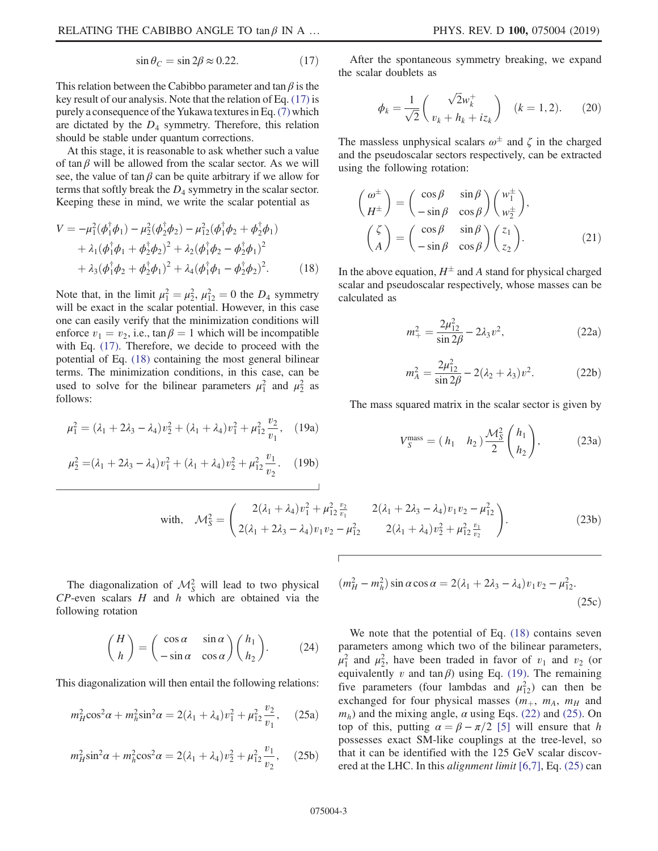$$
\sin \theta_C = \sin 2\beta \approx 0.22. \tag{17}
$$

This relation between the Cabibbo parameter and tan  $\beta$  is the key result of our analysis. Note that the relation of Eq. (17) is purely a consequence of the Yukawa textures in Eq.(7) which are dictated by the  $D_4$  symmetry. Therefore, this relation should be stable under quantum corrections.

At this stage, it is reasonable to ask whether such a value of tan  $\beta$  will be allowed from the scalar sector. As we will see, the value of tan  $\beta$  can be quite arbitrary if we allow for terms that softly break the  $D_4$  symmetry in the scalar sector. Keeping these in mind, we write the scalar potential as

$$
V = -\mu_1^2(\phi_1^{\dagger}\phi_1) - \mu_2^2(\phi_2^{\dagger}\phi_2) - \mu_{12}^2(\phi_1^{\dagger}\phi_2 + \phi_2^{\dagger}\phi_1) + \lambda_1(\phi_1^{\dagger}\phi_1 + \phi_2^{\dagger}\phi_2)^2 + \lambda_2(\phi_1^{\dagger}\phi_2 - \phi_2^{\dagger}\phi_1)^2 + \lambda_3(\phi_1^{\dagger}\phi_2 + \phi_2^{\dagger}\phi_1)^2 + \lambda_4(\phi_1^{\dagger}\phi_1 - \phi_2^{\dagger}\phi_2)^2.
$$
 (18)

Note that, in the limit  $\mu_1^2 = \mu_2^2$ ,  $\mu_{12}^2 = 0$  the  $D_4$  symmetry will be exact in the scalar potential. However, in this case one can easily verify that the minimization conditions will enforce  $v_1 = v_2$ , i.e.,  $\tan \beta = 1$  which will be incompatible with Eq. (17). Therefore, we decide to proceed with the potential of Eq. (18) containing the most general bilinear terms. The minimization conditions, in this case, can be used to solve for the bilinear parameters  $\mu_1^2$  and  $\mu_2^2$  as follows:

$$
\mu_1^2 = (\lambda_1 + 2\lambda_3 - \lambda_4)v_2^2 + (\lambda_1 + \lambda_4)v_1^2 + \mu_{12}^2 \frac{v_2}{v_1}, \quad (19a)
$$

$$
\mu_2^2 = (\lambda_1 + 2\lambda_3 - \lambda_4)v_1^2 + (\lambda_1 + \lambda_4)v_2^2 + \mu_{12}^2 \frac{v_1}{v_2}.
$$
 (19b)

After the spontaneous symmetry breaking, we expand the scalar doublets as

$$
\phi_k = \frac{1}{\sqrt{2}} \begin{pmatrix} \sqrt{2}w_k^+ \\ v_k + h_k + iz_k \end{pmatrix} \quad (k = 1, 2). \tag{20}
$$

The massless unphysical scalars  $\omega^{\pm}$  and  $\zeta$  in the charged and the pseudoscalar sectors respectively, can be extracted using the following rotation:

$$
\begin{pmatrix}\n\omega^{\pm} \\
H^{\pm}\n\end{pmatrix} = \begin{pmatrix}\n\cos \beta & \sin \beta \\
-\sin \beta & \cos \beta\n\end{pmatrix} \begin{pmatrix}\nw_1^{\pm} \\
w_2^{\pm}\n\end{pmatrix},
$$
\n
$$
\begin{pmatrix}\n\zeta \\
A\n\end{pmatrix} = \begin{pmatrix}\n\cos \beta & \sin \beta \\
-\sin \beta & \cos \beta\n\end{pmatrix} \begin{pmatrix}\nz_1 \\
z_2\n\end{pmatrix}.
$$
\n(21)

In the above equation,  $H^{\pm}$  and A stand for physical charged scalar and pseudoscalar respectively, whose masses can be calculated as

$$
m_{+}^{2} = \frac{2\mu_{12}^{2}}{\sin 2\beta} - 2\lambda_{3}v^{2},
$$
 (22a)

$$
m_A^2 = \frac{2\mu_{12}^2}{\sin 2\beta} - 2(\lambda_2 + \lambda_3)v^2.
$$
 (22b)

The mass squared matrix in the scalar sector is given by

$$
V_S^{\text{mass}} = (h_1 \quad h_2) \frac{\mathcal{M}_S^2}{2} \binom{h_1}{h_2},\tag{23a}
$$

with, 
$$
\mathcal{M}_{S}^{2} = \begin{pmatrix} 2(\lambda_{1} + \lambda_{4})v_{1}^{2} + \mu_{12}^{2} \frac{v_{2}}{v_{1}} & 2(\lambda_{1} + 2\lambda_{3} - \lambda_{4})v_{1}v_{2} - \mu_{12}^{2} \\ 2(\lambda_{1} + 2\lambda_{3} - \lambda_{4})v_{1}v_{2} - \mu_{12}^{2} & 2(\lambda_{1} + \lambda_{4})v_{2}^{2} + \mu_{12}^{2} \frac{v_{1}}{v_{2}} \end{pmatrix}.
$$
 (23b)

The diagonalization of  $\mathcal{M}_S^2$  will lead to two physical  $CP$ -even scalars  $H$  and  $h$  which are obtained via the following rotation

$$
\binom{H}{h} = \begin{pmatrix} \cos \alpha & \sin \alpha \\ -\sin \alpha & \cos \alpha \end{pmatrix} \binom{h_1}{h_2}.
$$
 (24)

This diagonalization will then entail the following relations:

$$
m_H^2 \cos^2 \alpha + m_h^2 \sin^2 \alpha = 2(\lambda_1 + \lambda_4) v_1^2 + \mu_{12}^2 \frac{v_2}{v_1}, \quad (25a)
$$

$$
m_H^2 \sin^2 \alpha + m_h^2 \cos^2 \alpha = 2(\lambda_1 + \lambda_4) v_2^2 + \mu_{12}^2 \frac{v_1}{v_2}, \quad (25b)
$$

$$
(m_H^2 - m_h^2) \sin \alpha \cos \alpha = 2(\lambda_1 + 2\lambda_3 - \lambda_4)v_1v_2 - \mu_{12}^2.
$$
\n(25c)

We note that the potential of Eq.  $(18)$  contains seven parameters among which two of the bilinear parameters,  $\mu_1^2$  and  $\mu_2^2$ , have been traded in favor of  $v_1$  and  $v_2$  (or equivalently v and tan $\beta$ ) using Eq. (19). The remaining five parameters (four lambdas and  $\mu_{12}^2$ ) can then be exchanged for four physical masses  $(m_+, m_A, m_H$  and  $m_h$ ) and the mixing angle,  $\alpha$  using Eqs. (22) and (25). On top of this, putting  $\alpha = \beta - \pi/2$  [5] will ensure that h possesses exact SM-like couplings at the tree-level, so that it can be identified with the 125 GeV scalar discovered at the LHC. In this *alignment limit* [6,7], Eq. (25) can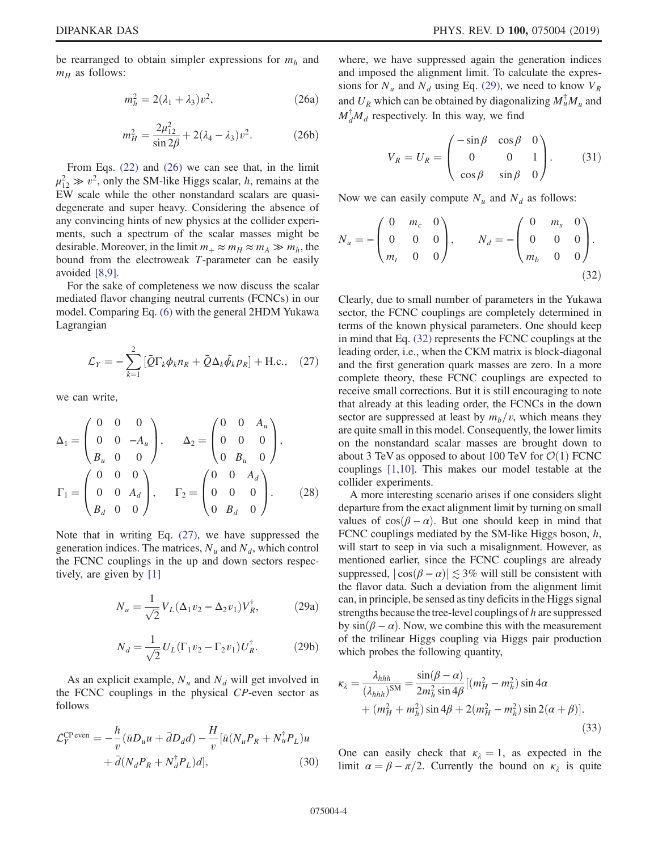be rearranged to obtain simpler expressions for  $m_h$  and  $m_H$  as follows:

$$
m_h^2 = 2(\lambda_1 + \lambda_3)v^2, \qquad (26a)
$$

$$
m_H^2 = \frac{2\mu_{12}^2}{\sin 2\beta} + 2(\lambda_4 - \lambda_3)v^2.
$$
 (26b)

From Eqs. (22) and (26) we can see that, in the limit  $\mu_{12}^2 \gg v^2$ , only the SM-like Higgs scalar, *h*, remains at the EW scale while the other nonstandard scalars are quasidegenerate and super heavy. Considering the absence of any convincing hints of new physics at the collider experiments, such a spectrum of the scalar masses might be desirable. Moreover, in the limit  $m_+ \approx m_H \approx m_A \gg m_h$ , the bound from the electroweak T-parameter can be easily avoided [8,9].

For the sake of completeness we now discuss the scalar mediated flavor changing neutral currents (FCNCs) in our model. Comparing Eq. (6) with the general 2HDM Yukawa Lagrangian

$$
\mathcal{L}_Y = -\sum_{k=1}^2 \left[ \bar{Q} \Gamma_k \phi_k n_R + \bar{Q} \Delta_k \tilde{\phi}_k p_R \right] + \text{H.c.,} \quad (27)
$$

we can write,

$$
\Delta_1 = \begin{pmatrix} 0 & 0 & 0 \\ 0 & 0 & -A_u \\ B_u & 0 & 0 \end{pmatrix}, \qquad \Delta_2 = \begin{pmatrix} 0 & 0 & A_u \\ 0 & 0 & 0 \\ 0 & B_u & 0 \end{pmatrix},
$$

$$
\Gamma_1 = \begin{pmatrix} 0 & 0 & 0 \\ 0 & 0 & A_d \\ B_d & 0 & 0 \end{pmatrix}, \qquad \Gamma_2 = \begin{pmatrix} 0 & 0 & A_d \\ 0 & 0 & 0 \\ 0 & B_d & 0 \end{pmatrix}. \tag{28}
$$

Note that in writing Eq. (27), we have suppressed the generation indices. The matrices,  $N_u$  and  $N_d$ , which control the FCNC couplings in the up and down sectors respectively, are given by [1]

$$
N_u = \frac{1}{\sqrt{2}} V_L (\Delta_1 v_2 - \Delta_2 v_1) V_R^{\dagger},
$$
 (29a)

$$
N_d = \frac{1}{\sqrt{2}} U_L (\Gamma_1 v_2 - \Gamma_2 v_1) U_R^{\dagger}.
$$
 (29b)

As an explicit example,  $N_u$  and  $N_d$  will get involved in the FCNC couplings in the physical CP-even sector as follows

$$
\mathcal{L}_Y^{\text{CP even}} = -\frac{h}{v} (\bar{u}D_u u + \bar{d}D_d d) - \frac{H}{v} [\bar{u}(N_u P_R + N_u^{\dagger} P_L)u + \bar{d}(N_d P_R + N_d^{\dagger} P_L)d],
$$
\n(30)

where, we have suppressed again the generation indices and imposed the alignment limit. To calculate the expressions for  $N_u$  and  $N_d$  using Eq. (29), we need to know  $V_R$ and  $U_R$  which can be obtained by diagonalizing  $M_u^{\dagger} M_u$  and  $M_d^{\dagger} M_d$  respectively. In this way, we find

$$
V_R = U_R = \begin{pmatrix} -\sin\beta & \cos\beta & 0 \\ 0 & 0 & 1 \\ \cos\beta & \sin\beta & 0 \end{pmatrix}.
$$
 (31)

Now we can easily compute  $N_u$  and  $N_d$  as follows:

$$
N_u = -\begin{pmatrix} 0 & m_c & 0 \\ 0 & 0 & 0 \\ m_t & 0 & 0 \end{pmatrix}, \qquad N_d = -\begin{pmatrix} 0 & m_s & 0 \\ 0 & 0 & 0 \\ m_b & 0 & 0 \end{pmatrix}.
$$
\n(32)

Clearly, due to small number of parameters in the Yukawa sector, the FCNC couplings are completely determined in terms of the known physical parameters. One should keep in mind that Eq. (32) represents the FCNC couplings at the leading order, i.e., when the CKM matrix is block-diagonal and the first generation quark masses are zero. In a more complete theory, these FCNC couplings are expected to receive small corrections. But it is still encouraging to note that already at this leading order, the FCNCs in the down sector are suppressed at least by  $m_b/v$ , which means they are quite small in this model. Consequently, the lower limits on the nonstandard scalar masses are brought down to about 3 TeV as opposed to about 100 TeV for  $\mathcal{O}(1)$  FCNC couplings [1,10]. This makes our model testable at the collider experiments.

A more interesting scenario arises if one considers slight departure from the exact alignment limit by turning on small values of  $cos(\beta - \alpha)$ . But one should keep in mind that FCNC couplings mediated by the SM-like Higgs boson,  $h$ , will start to seep in via such a misalignment. However, as mentioned earlier, since the FCNC couplings are already suppressed,  $|\cos(\beta - \alpha)| \lesssim 3\%$  will still be consistent with the flavor data. Such a deviation from the alignment limit can, in principle, be sensed as tiny deficits in the Higgs signal strengths because the tree-level couplings of h are suppressed by  $sin(\beta - \alpha)$ . Now, we combine this with the measurement of the trilinear Higgs coupling via Higgs pair production which probes the following quantity,

$$
\kappa_{\lambda} = \frac{\lambda_{hhh}}{(\lambda_{hhh})^{SM}} = \frac{\sin(\beta - \alpha)}{2m_h^2 \sin 4\beta} [(m_H^2 - m_h^2) \sin 4\alpha + (m_H^2 + m_h^2) \sin 4\beta + 2(m_H^2 - m_h^2) \sin 2(\alpha + \beta)].
$$
\n(33)

One can easily check that  $\kappa_{\lambda} = 1$ , as expected in the limit  $\alpha = \beta - \pi/2$ . Currently the bound on  $\kappa_{\lambda}$  is quite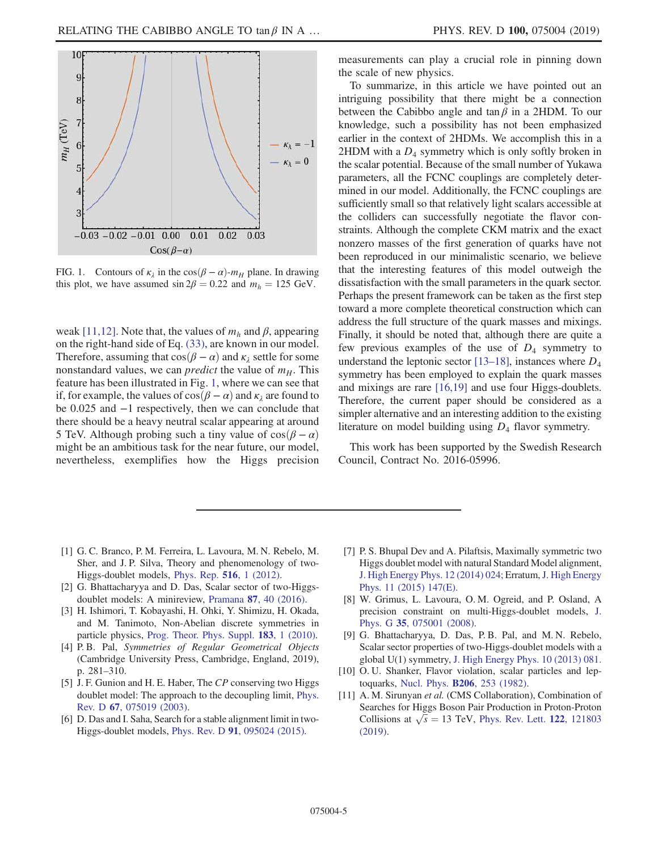

FIG. 1. Contours of  $\kappa_{\lambda}$  in the cos( $\beta - \alpha$ )- $m_H$  plane. In drawing this plot, we have assumed  $\sin 2\beta = 0.22$  and  $m_h = 125$  GeV.

weak [11,12]. Note that, the values of  $m_h$  and  $\beta$ , appearing on the right-hand side of Eq. (33), are known in our model. Therefore, assuming that  $cos(\beta - \alpha)$  and  $\kappa_{\lambda}$  settle for some nonstandard values, we can *predict* the value of  $m_H$ . This feature has been illustrated in Fig. 1, where we can see that if, for example, the values of  $cos(\beta - \alpha)$  and  $\kappa_1$  are found to be 0.025 and −1 respectively, then we can conclude that there should be a heavy neutral scalar appearing at around 5 TeV. Although probing such a tiny value of  $cos(\beta - \alpha)$ might be an ambitious task for the near future, our model, nevertheless, exemplifies how the Higgs precision measurements can play a crucial role in pinning down the scale of new physics.

To summarize, in this article we have pointed out an intriguing possibility that there might be a connection between the Cabibbo angle and tan $\beta$  in a 2HDM. To our knowledge, such a possibility has not been emphasized earlier in the context of 2HDMs. We accomplish this in a  $2HDM$  with a  $D_4$  symmetry which is only softly broken in the scalar potential. Because of the small number of Yukawa parameters, all the FCNC couplings are completely determined in our model. Additionally, the FCNC couplings are sufficiently small so that relatively light scalars accessible at the colliders can successfully negotiate the flavor constraints. Although the complete CKM matrix and the exact nonzero masses of the first generation of quarks have not been reproduced in our minimalistic scenario, we believe that the interesting features of this model outweigh the dissatisfaction with the small parameters in the quark sector. Perhaps the present framework can be taken as the first step toward a more complete theoretical construction which can address the full structure of the quark masses and mixings. Finally, it should be noted that, although there are quite a few previous examples of the use of  $D_4$  symmetry to understand the leptonic sector [13–18], instances where  $D_4$ symmetry has been employed to explain the quark masses and mixings are rare [16,19] and use four Higgs-doublets. Therefore, the current paper should be considered as a simpler alternative and an interesting addition to the existing literature on model building using  $D_4$  flavor symmetry.

This work has been supported by the Swedish Research Council, Contract No. 2016-05996.

- [1] G. C. Branco, P. M. Ferreira, L. Lavoura, M. N. Rebelo, M. Sher, and J. P. Silva, Theory and phenomenology of two-Higgs-doublet models, Phys. Rep. 516, 1 (2012).
- [2] G. Bhattacharyya and D. Das, Scalar sector of two-Higgsdoublet models: A minireview, Pramana 87, 40 (2016).
- [3] H. Ishimori, T. Kobayashi, H. Ohki, Y. Shimizu, H. Okada, and M. Tanimoto, Non-Abelian discrete symmetries in particle physics, Prog. Theor. Phys. Suppl. 183, 1 (2010).
- [4] P. B. Pal, Symmetries of Regular Geometrical Objects (Cambridge University Press, Cambridge, England, 2019), p. 281–310.
- [5] J. F. Gunion and H. E. Haber, The CP conserving two Higgs doublet model: The approach to the decoupling limit, Phys. Rev. D 67, 075019 (2003).
- [6] D. Das and I. Saha, Search for a stable alignment limit in two-Higgs-doublet models, Phys. Rev. D 91, 095024 (2015).
- [7] P. S. Bhupal Dev and A. Pilaftsis, Maximally symmetric two Higgs doublet model with natural Standard Model alignment, J. High Energy Phys. 12 (2014) 024; Erratum, J. High Energy Phys. 11 (2015) 147(E).
- [8] W. Grimus, L. Lavoura, O. M. Ogreid, and P. Osland, A precision constraint on multi-Higgs-doublet models, J. Phys. G 35, 075001 (2008).
- [9] G. Bhattacharyya, D. Das, P. B. Pal, and M. N. Rebelo, Scalar sector properties of two-Higgs-doublet models with a global U(1) symmetry, J. High Energy Phys. 10 (2013) 081.
- [10] O. U. Shanker, Flavor violation, scalar particles and leptoquarks, Nucl. Phys. B206, 253 (1982).
- [11] A. M. Sirunyan et al. (CMS Collaboration), Combination of Searches for Higgs Boson Pair Production in Proton-Proton Collisions at  $\sqrt{s}$  = 13 TeV, Phys. Rev. Lett. 122, 121803 (2019).